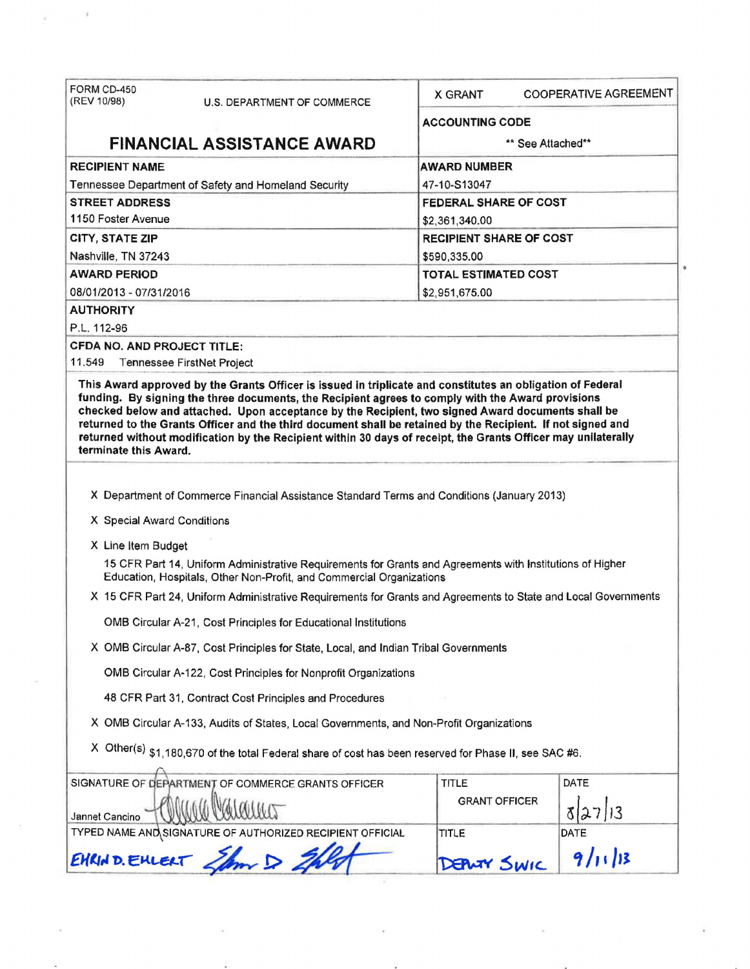| FORM CD-450<br>(REV 10/98)         | U.S. DEPARTMENT OF COMMERCE                                                                                   | <b>COOPERATIVE AGREEMENT</b><br><b>X GRANT</b>                                                                 |  |  |  |
|------------------------------------|---------------------------------------------------------------------------------------------------------------|----------------------------------------------------------------------------------------------------------------|--|--|--|
|                                    |                                                                                                               | <b>ACCOUNTING CODE</b>                                                                                         |  |  |  |
|                                    | <b>FINANCIAL ASSISTANCE AWARD</b>                                                                             | ** See Attached**                                                                                              |  |  |  |
| <b>RECIPIENT NAME</b>              |                                                                                                               | <b>AWARD NUMBER</b>                                                                                            |  |  |  |
|                                    | Tennessee Department of Safety and Homeland Security                                                          | 47-10-S13047                                                                                                   |  |  |  |
| <b>STREET ADDRESS</b>              |                                                                                                               | <b>FEDERAL SHARE OF COST</b>                                                                                   |  |  |  |
| 1150 Foster Avenue                 |                                                                                                               | \$2,361,340.00                                                                                                 |  |  |  |
| <b>CITY, STATE ZIP</b>             |                                                                                                               | <b>RECIPIENT SHARE OF COST</b>                                                                                 |  |  |  |
| Nashville, TN 37243                |                                                                                                               | \$590,335.00                                                                                                   |  |  |  |
| <b>AWARD PERIOD</b>                |                                                                                                               | <b>TOTAL ESTIMATED COST</b>                                                                                    |  |  |  |
| 08/01/2013 - 07/31/2016            |                                                                                                               | \$2,951,675.00                                                                                                 |  |  |  |
| <b>AUTHORITY</b>                   |                                                                                                               |                                                                                                                |  |  |  |
| P.L. 112-96                        |                                                                                                               |                                                                                                                |  |  |  |
| <b>CFDA NO. AND PROJECT TITLE:</b> |                                                                                                               |                                                                                                                |  |  |  |
| 11.549                             | Tennessee FirstNet Project                                                                                    |                                                                                                                |  |  |  |
| terminate this Award.              | returned without modification by the Recipient within 30 days of receipt, the Grants Officer may unilaterally |                                                                                                                |  |  |  |
|                                    |                                                                                                               |                                                                                                                |  |  |  |
| X Special Award Conditions         | X Department of Commerce Financial Assistance Standard Terms and Conditions (January 2013)                    |                                                                                                                |  |  |  |
|                                    |                                                                                                               |                                                                                                                |  |  |  |
| X Line Item Budget                 | Education, Hospitals, Other Non-Profit, and Commercial Organizations                                          | 15 CFR Part 14, Uniform Administrative Requirements for Grants and Agreements with Institutions of Higher      |  |  |  |
|                                    |                                                                                                               | X 15 CFR Part 24, Uniform Administrative Requirements for Grants and Agreements to State and Local Governments |  |  |  |
|                                    | OMB Circular A-21, Cost Principles for Educational Institutions                                               |                                                                                                                |  |  |  |
|                                    | X OMB Circular A-87, Cost Principles for State, Local, and Indian Tribal Governments                          |                                                                                                                |  |  |  |
|                                    | OMB Circular A-122, Cost Principles for Nonprofit Organizations                                               |                                                                                                                |  |  |  |
|                                    | 48 CFR Part 31, Contract Cost Principles and Procedures                                                       |                                                                                                                |  |  |  |
|                                    | X OMB Circular A-133, Audits of States, Local Governments, and Non-Profit Organizations                       |                                                                                                                |  |  |  |
|                                    | X Other(s) \$1,180,670 of the total Federal share of cost has been reserved for Phase II, see SAC #6.         |                                                                                                                |  |  |  |
|                                    | SIGNATURE OF DEPARTMENT OF COMMERCE GRANTS OFFICER                                                            | DATE<br><b>TITLE</b>                                                                                           |  |  |  |
| Jannet Cancino                     |                                                                                                               | <b>GRANT OFFICER</b><br>7 13                                                                                   |  |  |  |
|                                    | TYPED NAME AND SIGNATURE OF AUTHORIZED RECIPIENT OFFICIAL                                                     | DATE<br>TITLE                                                                                                  |  |  |  |

 $\overline{a}$ 

 $\alpha$ 

 $\bar{\alpha}$ 

 $\overline{\phantom{a}}$